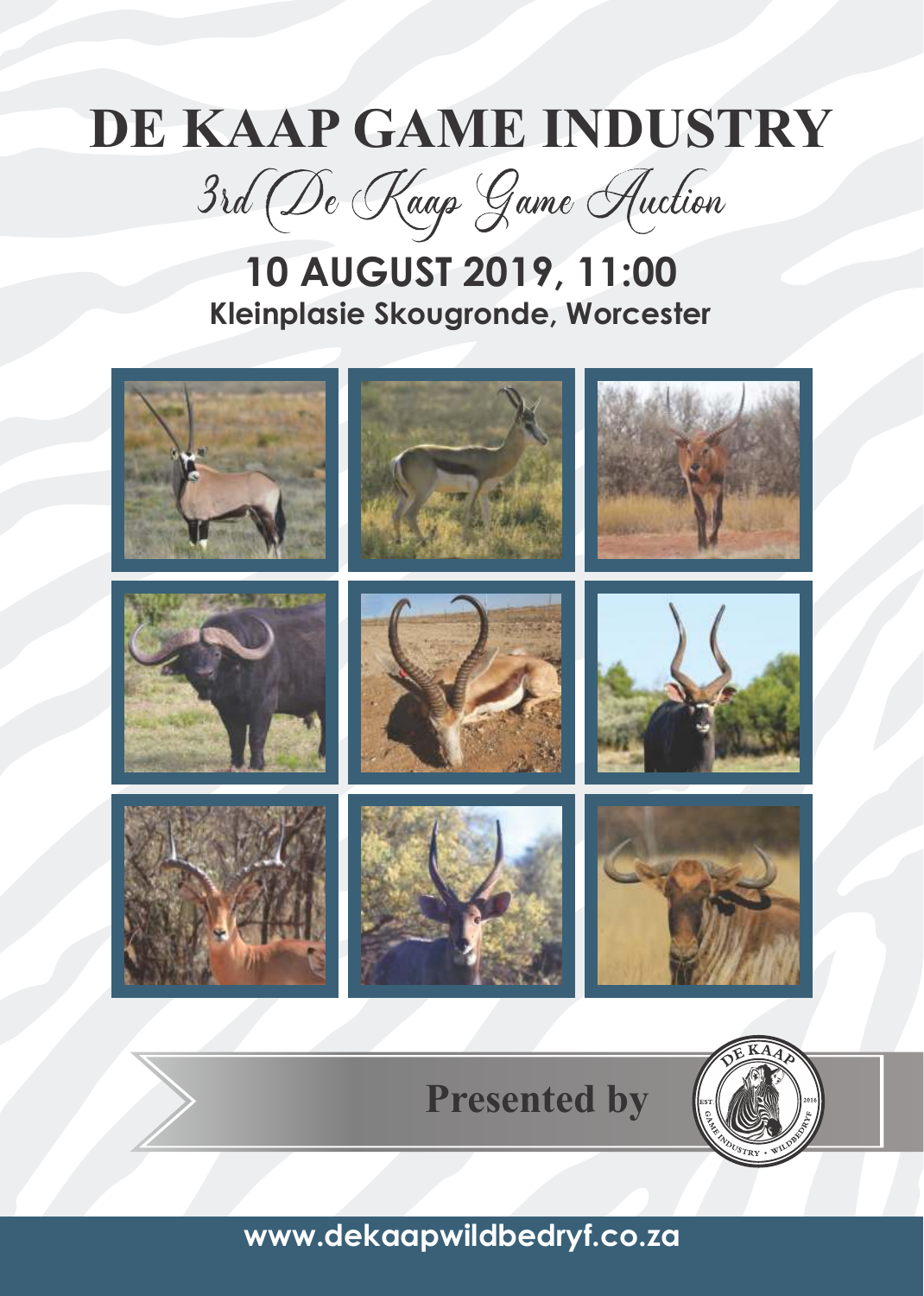# **DE KAAP GAME INDUSTRY**

3rd De Kaap Game Auction

### **10 AUGUST 2019, 11:00 Kleinplasie Skougronde, Worcester**



**www.dekaapwildbedryf.co.za**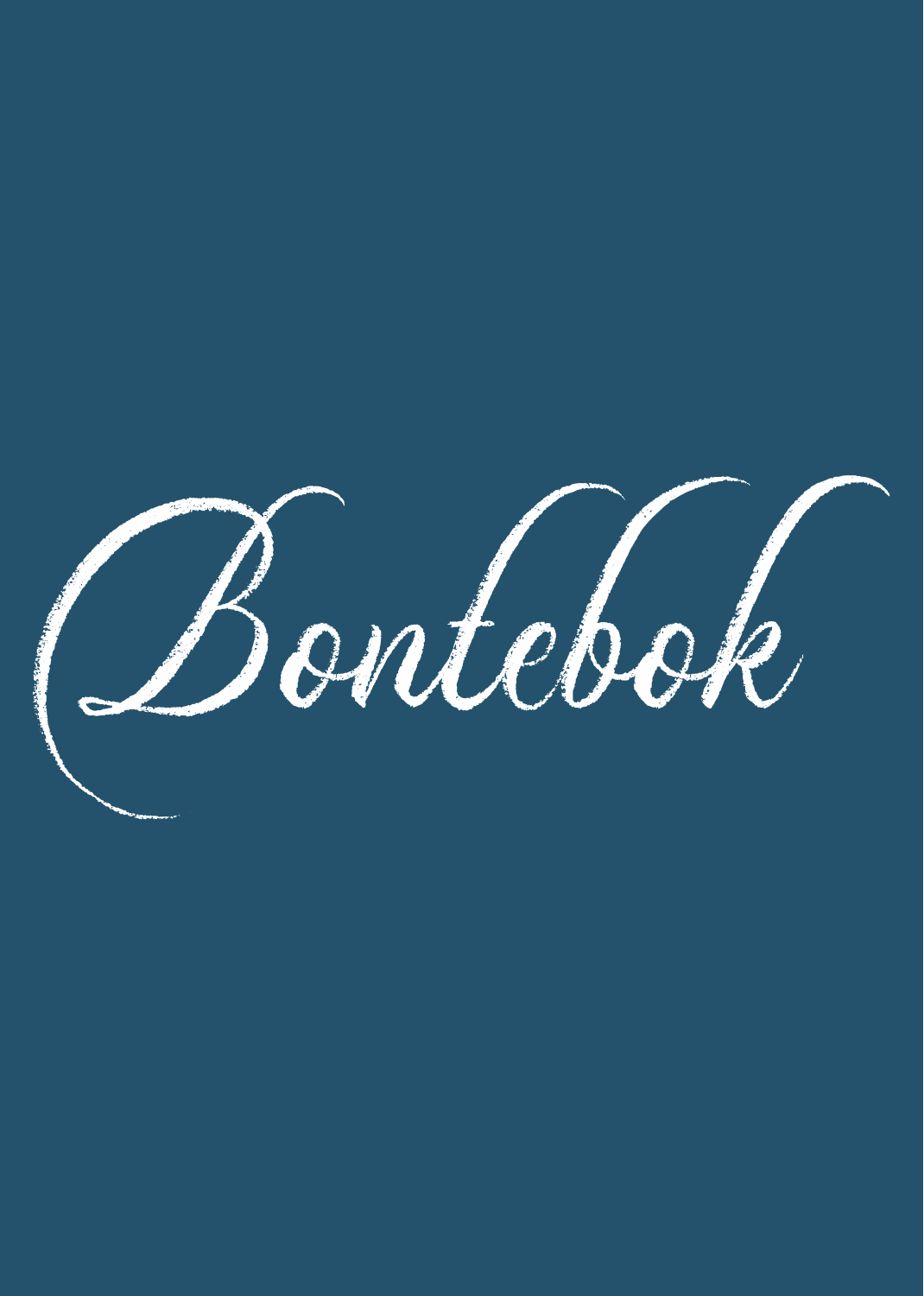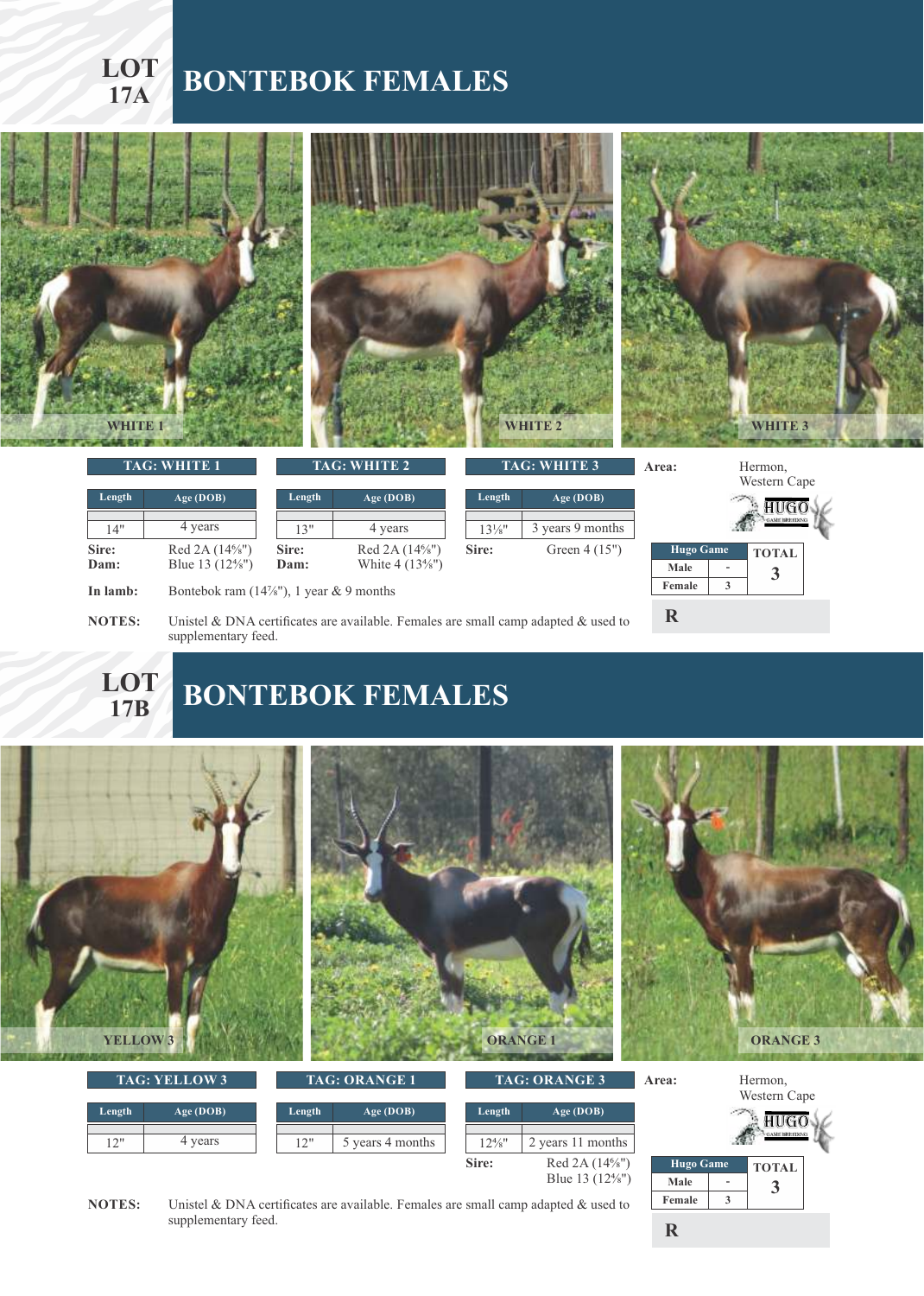### **LOT BONTEBOK FEMALES 17A**





#### **17B BONTEBOK FEMALES**



supplementary feed.